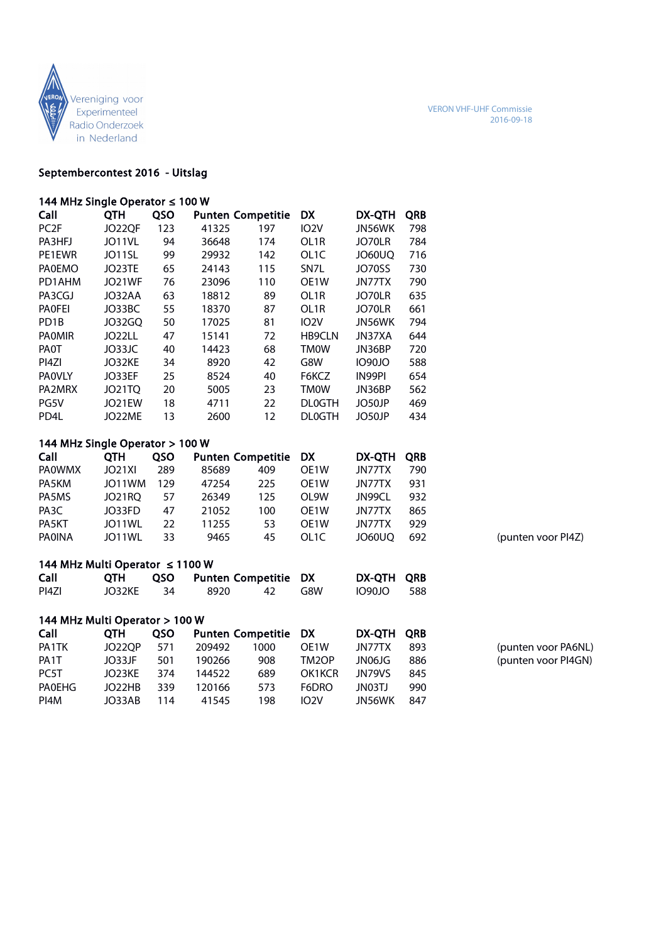

#### Septembercontest 2016 - Uitslag

| 144 MHz Single Operator ≤ 100 W |            |  |                          |     |                   |            |  |  |  |  |
|---------------------------------|------------|--|--------------------------|-----|-------------------|------------|--|--|--|--|
| Call                            | ОТН        |  | QSO Punten Competitie DX |     |                   | DX-OTH ORB |  |  |  |  |
| PC <sub>2F</sub>                | JO22OF 123 |  | 41325                    | 197 | IO <sub>2</sub> V | JN56WK 798 |  |  |  |  |

| PA3HFJ            | JO11VL        | 94 | 36648 | 174 | OL1R              | JO70LR        | 784 |
|-------------------|---------------|----|-------|-----|-------------------|---------------|-----|
| PE1EWR            | JO11SL        | 99 | 29932 | 142 | OL <sub>1</sub> C | JO60UO        | 716 |
| <b>PAOEMO</b>     | JO23TE        | 65 | 24143 | 115 | SN <sub>7</sub> L | JO70SS        | 730 |
| PD1AHM            | JO21WF        | 76 | 23096 | 110 | OE <sub>1</sub> W | JN77TX        | 790 |
| PA3CGJ            | JO32AA        | 63 | 18812 | 89  | OL <sub>1</sub> R | JO70LR        | 635 |
| <b>PAOFEI</b>     | JO33BC        | 55 | 18370 | 87  | OL <sub>1</sub> R | JO70LR        | 661 |
| PD <sub>1</sub> B | J032GO        | 50 | 17025 | 81  | 102V              | JN56WK        | 794 |
| <b>PAOMIR</b>     | JO22LL        | 47 | 15141 | 72  | <b>HB9CLN</b>     | JN37XA        | 644 |
| PA0T              | JO33JC        | 40 | 14423 | 68  | <b>TMOW</b>       | JN36BP        | 720 |
| PI4ZI             | JO32KE        | 34 | 8920  | 42  | G8W               | <b>1090JO</b> | 588 |
| <b>PAOVLY</b>     | JO33EF        | 25 | 8524  | 40  | F6KCZ             | IN99PI        | 654 |
| PA2MRX            | <b>JO21TO</b> | 20 | 5005  | 23  | <b>TMOW</b>       | JN36BP        | 562 |
| PG5V              | JO21EW        | 18 | 4711  | 22  | <b>DLOGTH</b>     | JO50JP        | 469 |
| PD <sub>4</sub> L | JO22ME        | 13 | 2600  | 12  | <b>DLOGTH</b>     | JO50JP        | 434 |

## 144 MHz Single Operator > 100 W

| Call              | ОТН    | <b>OSO</b> | <b>Punten Competitie DX</b> |      |                   | DX-OTH ORB |     |
|-------------------|--------|------------|-----------------------------|------|-------------------|------------|-----|
| <b>PAOWMX</b>     | JO21XI | 289        | 85689                       | 409  | OF <sub>1</sub> W | JN77TX     | 790 |
| PA5KM             | JO11WM | 129        | 47254                       | 225. | OF <sub>1</sub> W | JN77TX     | 931 |
| PA5MS             | JO21RO | 57         | 26349                       | 125  | OI 9W             | JN99CL     | 932 |
| PA <sub>3</sub> C | JO33FD | 47         | 21052                       | 100  | OF <sub>1</sub> W | JN77TX     | 865 |
| PA5KT             | JO11WL | 22         | 11255                       | 53   | OF <sub>1</sub> W | JN77TX     | 929 |
| <b>PAOINA</b>     | JO11WL | 33         | 9465                        | 45   | OL 1C             | JO60UO     | 692 |

(punten voor PI4Z)

(punten voor PA6NL) (punten voor PI4GN)

# 144 MHz Multi Operator ≤ 1100 W

| Call  |           | QTH QSO Punten Competitie DX |  | DX-OTH ORB |  |
|-------|-----------|------------------------------|--|------------|--|
| PI4ZI | JO32KE 34 | 8920 42 G8W                  |  | 1090JO 588 |  |

## 144 MHz Multi Operator > 100 W

| Call              | <b>OTH</b>    | <b>OSO</b> |        | <b>Punten Competitie DX</b> |                   | DX-OTH ORB    |     |
|-------------------|---------------|------------|--------|-----------------------------|-------------------|---------------|-----|
| PA1TK             | <b>JO22OP</b> | 571        | 209492 | 1000                        | OF <sub>1</sub> W | JN77TX        | 893 |
| PA <sub>1</sub> T | JO33JE        | 501        | 190266 | 908                         | TM2OP             | JN06JG        | 886 |
| PC5T              | JO23KE        | 374        | 144522 | 689                         | OK1KCR            | <b>IN79VS</b> | 845 |
| <b>PAOEHG</b>     | JO22HB        | 339        | 120166 | 573                         | F6DRO.            | JN03TJ        | 990 |
| PI4M              | JO33AB        | 114        | 41545  | 198                         | IO <sub>2</sub> V | JN56WK        | 847 |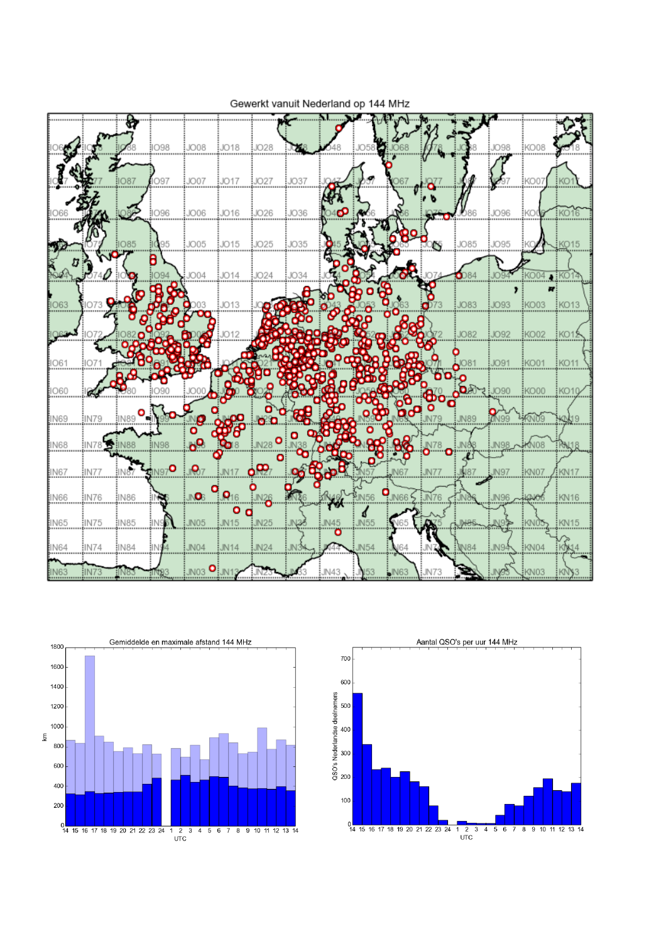

Gewerkt vanuit Nederland op 144 MHz



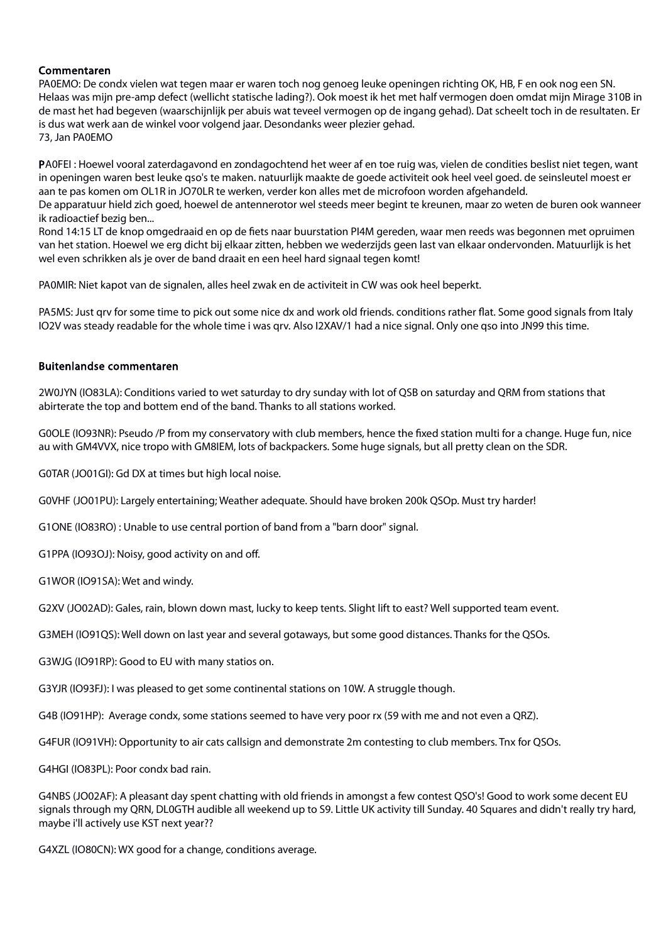### Commentaren

PA0EMO: De condx vielen wat tegen maar er waren toch nog genoeg leuke openingen richting OK, HB, F en ook nog een SN. Helaas was mijn pre-amp defect (wellicht statische lading?). Ook moest ik het met half vermogen doen omdat mijn Mirage 310B in de mast het had begeven (waarschijnlijk per abuis wat teveel vermogen op de ingang gehad). Dat scheelt toch in de resultaten. Er is dus wat werk aan de winkel voor volgend jaar. Desondanks weer plezier gehad. 73, Jan PA0EMO

PA0FEI : Hoewel vooral zaterdagavond en zondagochtend het weer af en toe ruig was, vielen de condities beslist niet tegen, want in openingen waren best leuke qso's te maken. natuurlijk maakte de goede activiteit ook heel veel goed. de seinsleutel moest er aan te pas komen om OL1R in JO70LR te werken, verder kon alles met de microfoon worden afgehandeld.

De apparatuur hield zich goed, hoewel de antennerotor wel steeds meer begint te kreunen, maar zo weten de buren ook wanneer ik radioactief bezig ben...

Rond 14:15 LT de knop omgedraaid en op de fiets naar buurstation PI4M gereden, waar men reeds was begonnen met opruimen van het station. Hoewel we erg dicht bij elkaar zitten, hebben we wederzijds geen last van elkaar ondervonden. Matuurlijk is het wel even schrikken als je over de band draait en een heel hard signaal tegen komt!

PA0MIR: Niet kapot van de signalen, alles heel zwak en de activiteit in CW was ook heel beperkt.

PA5MS: Just qrv for some time to pick out some nice dx and work old friends. conditions rather flat. Some good signals from Italy IO2V was steady readable for the whole time i was qrv. Also I2XAV/1 had a nice signal. Only one qso into JN99 this time.

### Buitenlandse commentaren

2W0JYN (IO83LA): Conditions varied to wet saturday to dry sunday with lot of QSB on saturday and QRM from stations that abirterate the top and bottem end of the band. Thanks to all stations worked.

G0OLE (IO93NR): Pseudo /P from my conservatory with club members, hence the fixed station multi for a change. Huge fun, nice au with GM4VVX, nice tropo with GM8IEM, lots of backpackers. Some huge signals, but all pretty clean on the SDR.

G0TAR (JO01GI): Gd DX at times but high local noise.

G0VHF (JO01PU): Largely entertaining; Weather adequate. Should have broken 200k QSOp. Must try harder!

G1ONE (IO83RO) : Unable to use central portion of band from a "barn door" signal.

G1PPA (IO93OJ): Noisy, good activity on and off.

G1WOR (IO91SA): Wet and windy.

G2XV (JO02AD): Gales, rain, blown down mast, lucky to keep tents. Slight lift to east? Well supported team event.

G3MEH (IO91QS): Well down on last year and several gotaways, but some good distances. Thanks for the QSOs.

G3WJG (IO91RP): Good to EU with many statios on.

G3YJR (IO93FJ): I was pleased to get some continental stations on 10W. A struggle though.

G4B (IO91HP): Average condx, some stations seemed to have very poor rx (59 with me and not even a QRZ).

G4FUR (IO91VH): Opportunity to air cats callsign and demonstrate 2m contesting to club members. Tnx for QSOs.

G4HGI (IO83PL): Poor condx bad rain.

G4NBS (JO02AF): A pleasant day spent chatting with old friends in amongst a few contest QSO's! Good to work some decent EU signals through my QRN, DL0GTH audible all weekend up to S9. Little UK activity till Sunday. 40 Squares and didn't really try hard, maybe i'll actively use KST next year??

G4XZL (IO80CN): WX good for a change, conditions average.